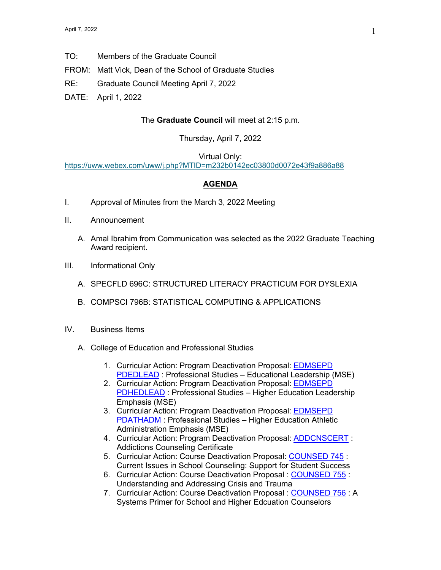- TO: Members of the Graduate Council
- FROM: Matt Vick, Dean of the School of Graduate Studies
- RE: Graduate Council Meeting April 7, 2022
- DATE: April 1, 2022

## The **Graduate Council** will meet at 2:15 p.m.

## Thursday, April 7, 2022

## Virtual Only:

https://uww.webex.com/uww/j.php?MTID=m232b0142ec03800d0072e43f9a886a88

## **AGENDA**

- I. Approval of Minutes from the March 3, 2022 Meeting
- II. Announcement
	- A. Amal Ibrahim from Communication was selected as the 2022 Graduate Teaching Award recipient.
- III. Informational Only
	- A. SPECFLD 696C: STRUCTURED LITERACY PRACTICUM FOR DYSLEXIA
	- B. COMPSCI 796B: STATISTICAL COMPUTING & APPLICATIONS
- IV. Business Items
	- A. College of Education and Professional Studies
		- 1. Curricular Action: Program Deactivation Proposal: EDMSEPD PDEDLEAD : Professional Studies – Educational Leadership (MSE)
		- 2. Curricular Action: Program Deactivation Proposal: EDMSEPD PDHEDLEAD : Professional Studies – Higher Education Leadership Emphasis (MSE)
		- 3. Curricular Action: Program Deactivation Proposal: EDMSEPD PDATHADM : Professional Studies – Higher Education Athletic Administration Emphasis (MSE)
		- 4. Curricular Action: Program Deactivation Proposal: ADDCNSCERT : Addictions Counseling Certificate
		- 5. Curricular Action: Course Deactivation Proposal: COUNSED 745 : Current Issues in School Counseling: Support for Student Success
		- 6. Curricular Action: Course Deactivation Proposal : COUNSED 755 : Understanding and Addressing Crisis and Trauma
		- 7. Curricular Action: Course Deactivation Proposal : COUNSED 756 : A Systems Primer for School and Higher Edcuation Counselors